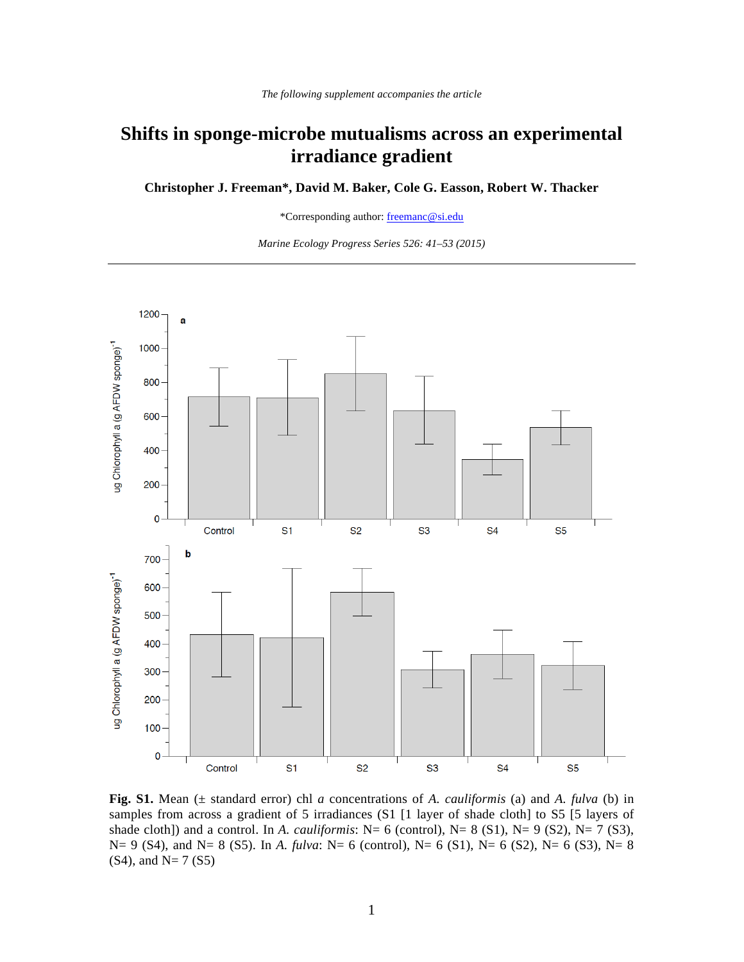## **Shifts in sponge-microbe mutualisms across an experimental irradiance gradient**

**Christopher J. Freeman\*, David M. Baker, Cole G. Easson, Robert W. Thacker** 

\*Corresponding author: freemanc@si.edu

*Marine Ecology Progress Series 526: 41–53 (2015)* 



**Fig. S1.** Mean (± standard error) chl *a* concentrations of *A. cauliformis* (a) and *A. fulva* (b) in samples from across a gradient of 5 irradiances (S1 [1 layer of shade cloth] to S5 [5 layers of shade cloth]) and a control. In *A. cauliformis*: N= 6 (control), N= 8 (S1), N= 9 (S2), N= 7 (S3), N= 9 (S4), and N= 8 (S5). In *A. fulva*: N= 6 (control), N= 6 (S1), N= 6 (S2), N= 6 (S3), N= 8  $(S4)$ , and N= 7  $(S5)$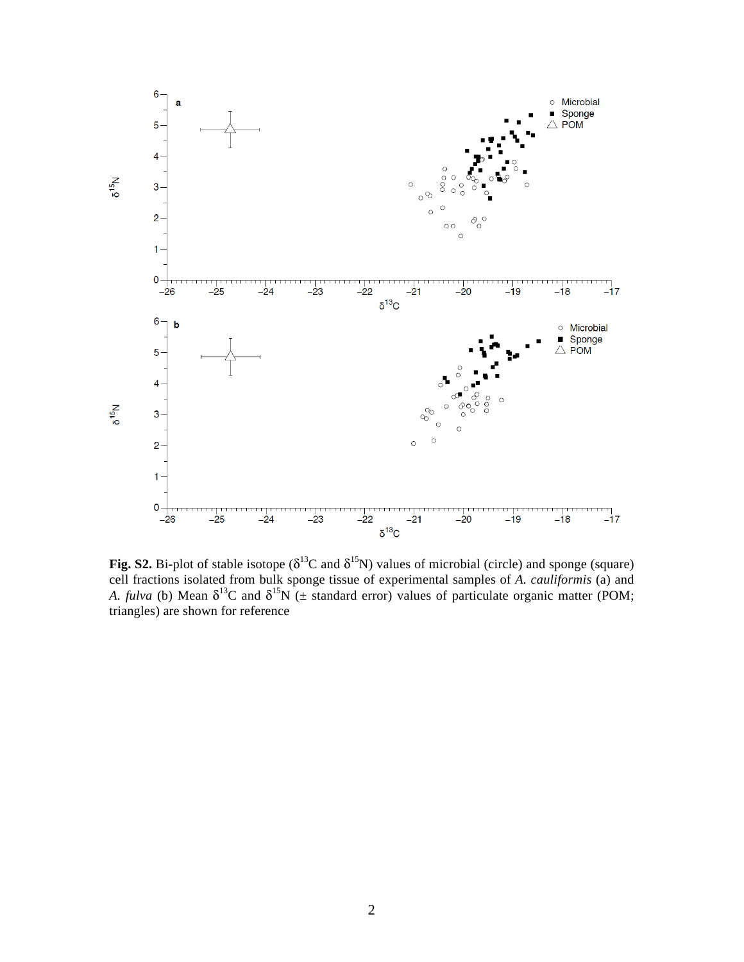

**Fig. S2.** Bi-plot of stable isotope ( $\delta^{13}C$  and  $\delta^{15}N$ ) values of microbial (circle) and sponge (square) cell fractions isolated from bulk sponge tissue of experimental samples of *A. cauliformis* (a) and *A. fulva* (b) Mean  $\delta^{13}C$  and  $\delta^{15}N$  ( $\pm$  standard error) values of particulate organic matter (POM; triangles) are shown for reference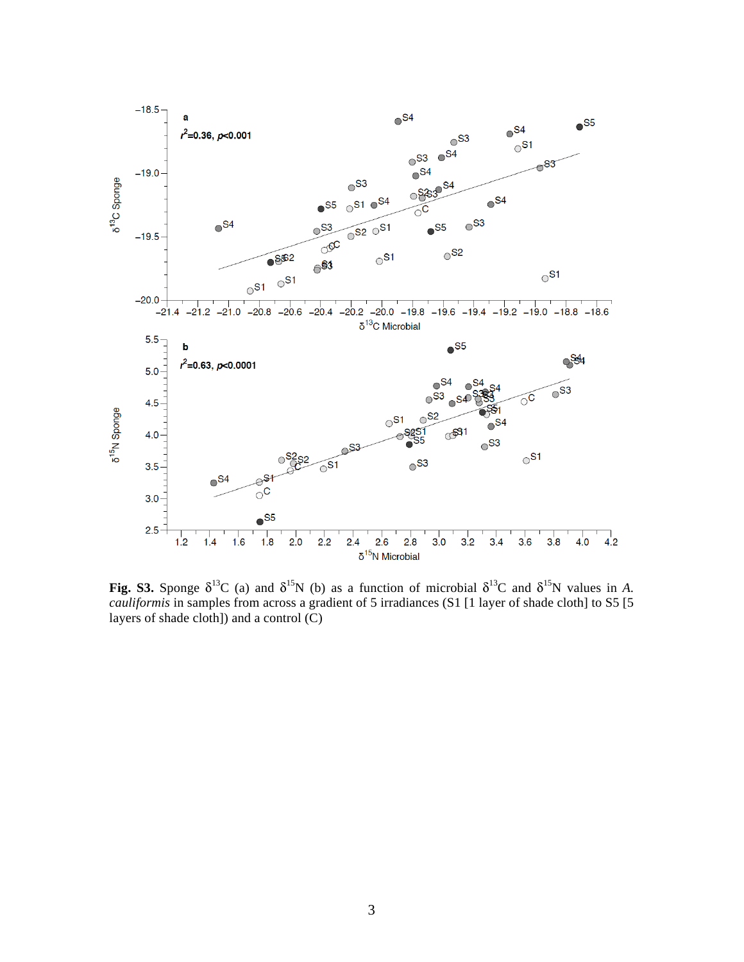

**Fig. S3.** Sponge  $\delta^{13}C$  (a) and  $\delta^{15}N$  (b) as a function of microbial  $\delta^{13}C$  and  $\delta^{15}N$  values in *A*. *cauliformis* in samples from across a gradient of 5 irradiances (S1 [1 layer of shade cloth] to S5 [5] layers of shade cloth]) and a control (C)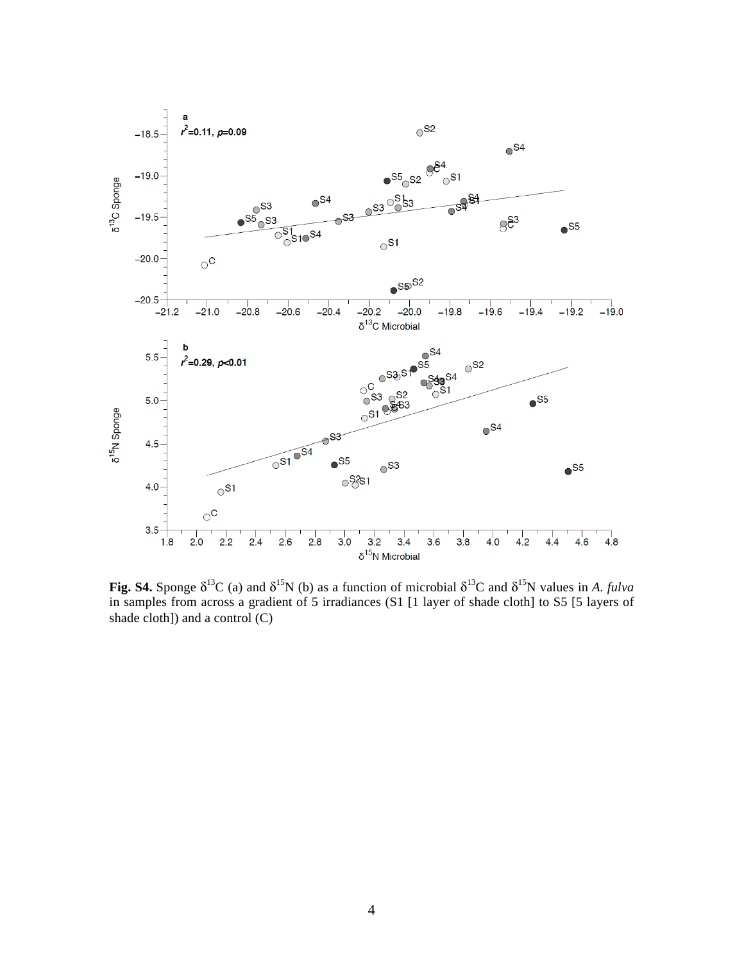

**Fig. S4.** Sponge  $\delta^{13}C$  (a) and  $\delta^{15}N$  (b) as a function of microbial  $\delta^{13}C$  and  $\delta^{15}N$  values in *A. fulva* in samples from across a gradient of 5 irradiances (S1 [1 layer of shade cloth] to S5 [5 layers of shade cloth]) and a control (C)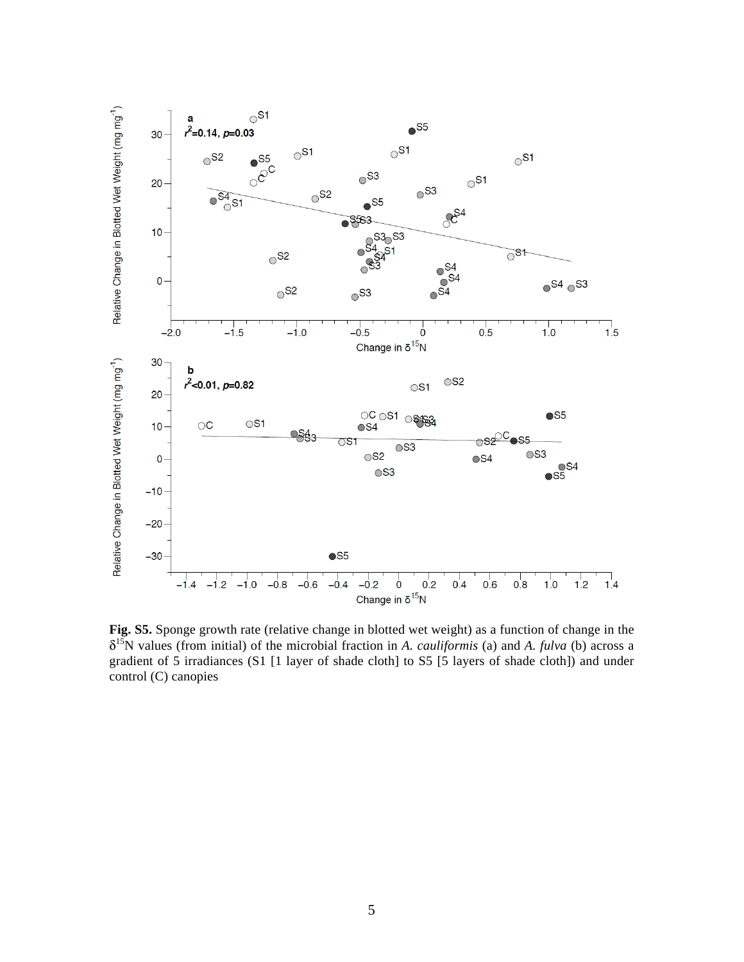

**Fig. S5.** Sponge growth rate (relative change in blotted wet weight) as a function of change in the δ15N values (from initial) of the microbial fraction in *A. cauliformis* (a) and *A. fulva* (b) across a gradient of 5 irradiances (S1 [1 layer of shade cloth] to S5 [5 layers of shade cloth]) and under control (C) canopies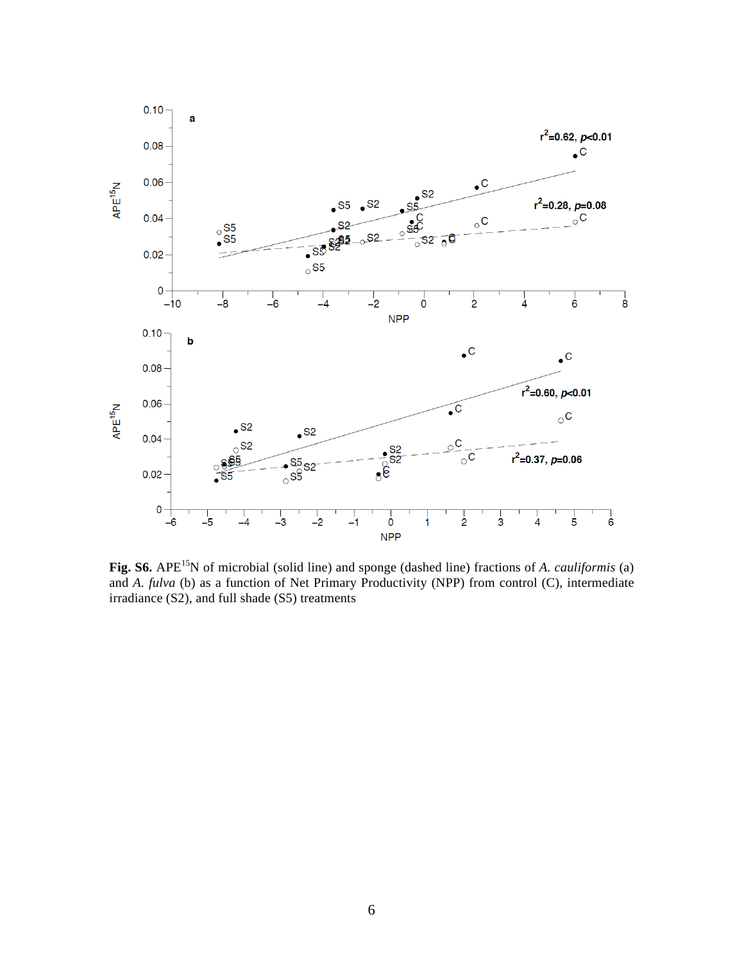

**Fig. S6.** APE<sup>15</sup>N of microbial (solid line) and sponge (dashed line) fractions of *A. cauliformis* (a) and *A. fulva* (b) as a function of Net Primary Productivity (NPP) from control (C), intermediate irradiance (S2), and full shade (S5) treatments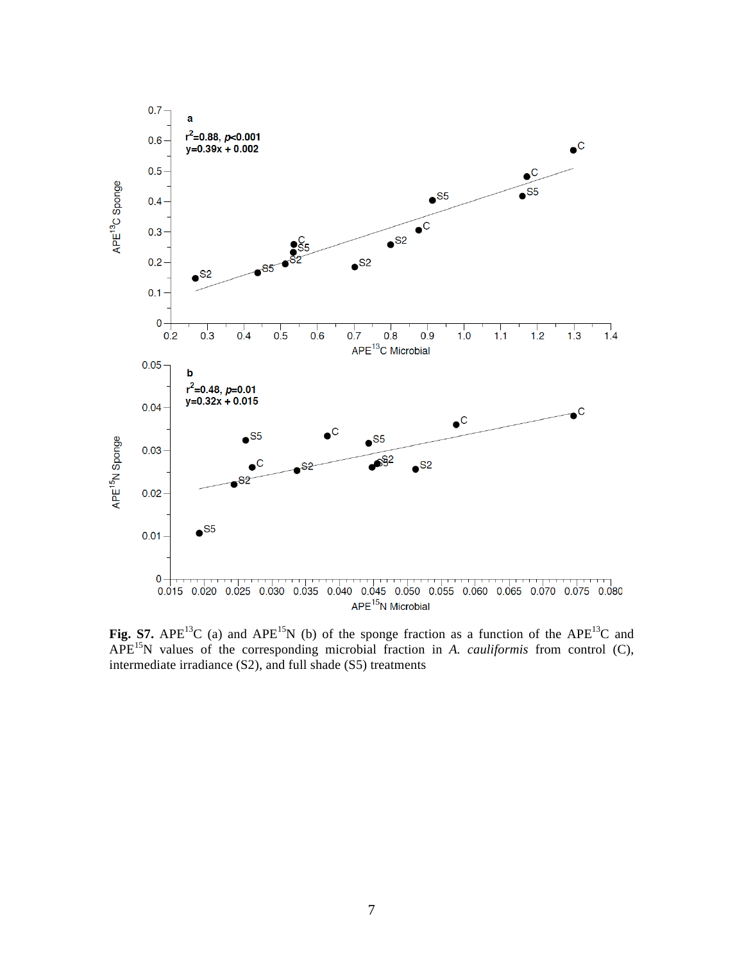

**Fig. S7.** APE<sup>13</sup>C (a) and APE<sup>15</sup>N (b) of the sponge fraction as a function of the APE<sup>13</sup>C and APE15N values of the corresponding microbial fraction in *A. cauliformis* from control (C), intermediate irradiance (S2), and full shade (S5) treatments